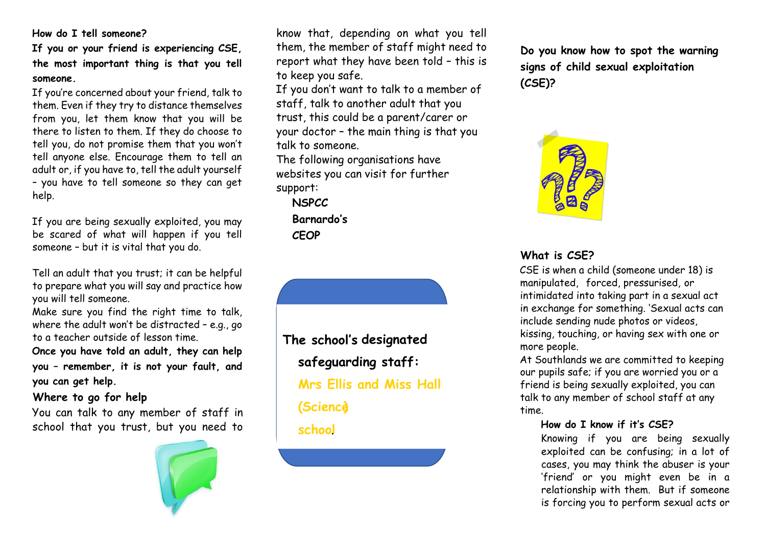#### **How do I tell someone?**

**If you or your friend is experiencing CSE, the most important thing is that you tell someone.** 

If you're concerned about your friend, talk to them. Even if they try to distance themselves from you, let them know that you will be there to listen to them. If they do choose to tell you, do not promise them that you won't tell anyone else. Encourage them to tell an adult or, if you have to, tell the adult yourself – you have to tell someone so they can get help.

If you are being sexually exploited, you may be scared of what will happen if you tell someone – but it is vital that you do.

Tell an adult that you trust; it can be helpful to prepare what you will say and practice how you will tell someone.

Make sure you find the right time to talk, where the adult won't be distracted – e.g., go to a teacher outside of lesson time.

**Once you have told an adult, they can help you – remember, it is not your fault, and you can get help.** 

## **Where to go for help**

You can talk to any member of staff in school that you trust, but you need to



know that, depending on what you tell them, the member of staff might need to report what they have been told – this is to keep you safe.

If you don't want to talk to a member of staff, talk to another adult that you trust, this could be a parent/carer or your doctor – the main thing is that you talk to someone.

The following organisations have websites you can visit for further support:

**NSPCC Barnardo's CEOP**

**The school's designated safeguarding staff: Mrs Ellis and Miss Hall (Science) school**.

**Do you know how to spot the warning signs of child sexual exploitation (CSE)?** 



# **What is CSE?**

CSE is when a child (someone under 18) is manipulated, forced, pressurised, or intimidated into taking part in a sexual act in exchange for something. 'Sexual acts can include sending nude photos or videos, kissing, touching, or having sex with one or more people.

At Southlands we are committed to keeping our pupils safe; if you are worried you or a friend is being sexually exploited, you can talk to any member of school staff at any time.

## **How do I know if it's CSE?**

Knowing if you are being sexually exploited can be confusing; in a lot of cases, you may think the abuser is your 'friend' or you might even be in a relationship with them. But if someone is forcing you to perform sexual acts or